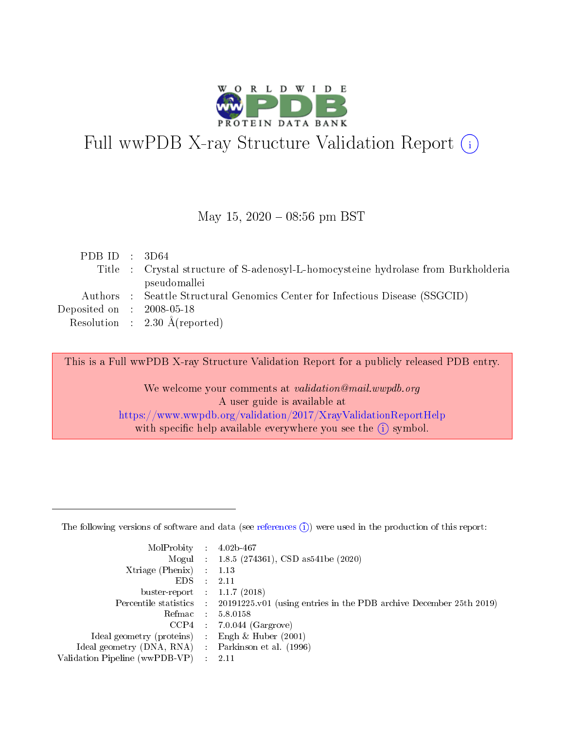

# Full wwPDB X-ray Structure Validation Report (i)

#### May 15,  $2020 - 08:56$  pm BST

| PDB ID : $3D64$                |                                                                                    |
|--------------------------------|------------------------------------------------------------------------------------|
|                                | Title : Crystal structure of S-adenosyl-L-homocysteine hydrolase from Burkholderia |
|                                | pseudomallei                                                                       |
|                                | Authors : Seattle Structural Genomics Center for Infectious Disease (SSGCID)       |
| Deposited on $\,$ : 2008-05-18 |                                                                                    |
|                                | Resolution : $2.30 \text{ Å}$ (reported)                                           |
|                                |                                                                                    |

This is a Full wwPDB X-ray Structure Validation Report for a publicly released PDB entry.

We welcome your comments at validation@mail.wwpdb.org A user guide is available at <https://www.wwpdb.org/validation/2017/XrayValidationReportHelp> with specific help available everywhere you see the  $(i)$  symbol.

The following versions of software and data (see [references](https://www.wwpdb.org/validation/2017/XrayValidationReportHelp#references)  $(1)$ ) were used in the production of this report:

| MolProbity :                   |               | $4.02b - 467$                                                                |
|--------------------------------|---------------|------------------------------------------------------------------------------|
|                                |               | Mogul : $1.8.5$ (274361), CSD as 541be (2020)                                |
| Xtriage (Phenix)               | $\mathcal{L}$ | 1.13                                                                         |
| EDS.                           |               | 2.11                                                                         |
| buster-report : $1.1.7$ (2018) |               |                                                                              |
| Percentile statistics :        |               | $20191225 \text{ v}01$ (using entries in the PDB archive December 25th 2019) |
| Refmac :                       |               | 5.8.0158                                                                     |
| CCP4                           |               | $7.0.044$ (Gargrove)                                                         |
| Ideal geometry (proteins) :    |               | Engh & Huber $(2001)$                                                        |
| Ideal geometry (DNA, RNA) :    |               | Parkinson et al. (1996)                                                      |
| Validation Pipeline (wwPDB-VP) | $\mathcal{L}$ | 2.11                                                                         |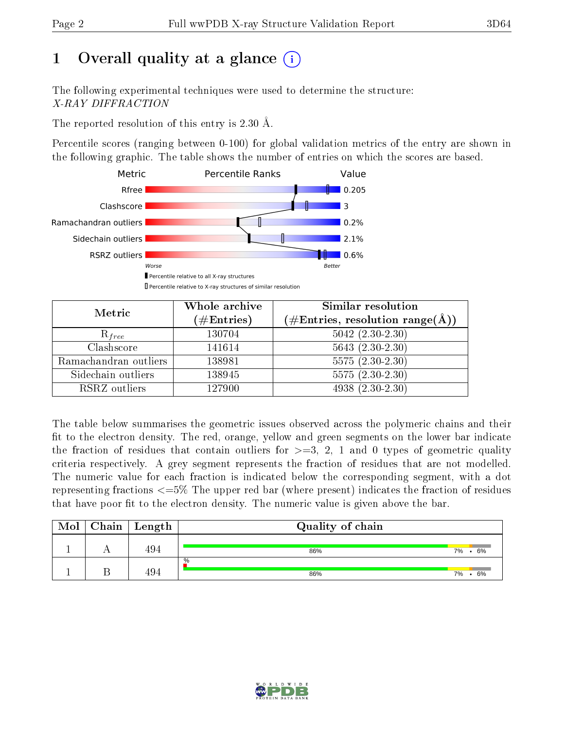# 1 [O](https://www.wwpdb.org/validation/2017/XrayValidationReportHelp#overall_quality)verall quality at a glance  $(i)$

The following experimental techniques were used to determine the structure: X-RAY DIFFRACTION

The reported resolution of this entry is 2.30 Å.

Percentile scores (ranging between 0-100) for global validation metrics of the entry are shown in the following graphic. The table shows the number of entries on which the scores are based.



| Metric                | Whole archive<br>$(\#\text{Entries})$ | Similar resolution<br>$(\#\text{Entries},\,\text{resolution}\,\,\text{range}(\textup{\AA}))$ |
|-----------------------|---------------------------------------|----------------------------------------------------------------------------------------------|
| $R_{free}$            | 130704                                | $5042$ $(2.30-2.30)$                                                                         |
| Clashscore            | 141614                                | $5643(2.30-2.30)$                                                                            |
| Ramachandran outliers | 138981                                | $5575(2.30-2.30)$                                                                            |
| Sidechain outliers    | 138945                                | $5575(2.30-2.30)$                                                                            |
| RSRZ outliers         | 127900                                | $4938(2.30-2.30)$                                                                            |

The table below summarises the geometric issues observed across the polymeric chains and their fit to the electron density. The red, orange, yellow and green segments on the lower bar indicate the fraction of residues that contain outliers for  $>=3, 2, 1$  and 0 types of geometric quality criteria respectively. A grey segment represents the fraction of residues that are not modelled. The numeric value for each fraction is indicated below the corresponding segment, with a dot representing fractions  $\epsilon=5\%$  The upper red bar (where present) indicates the fraction of residues that have poor fit to the electron density. The numeric value is given above the bar.

| Mol | $Chain$ Length | Quality of chain |          |
|-----|----------------|------------------|----------|
|     | 494            | 86%              | 7% • 6%  |
|     | 494            | $\%$<br>86%      | 6%<br>7% |

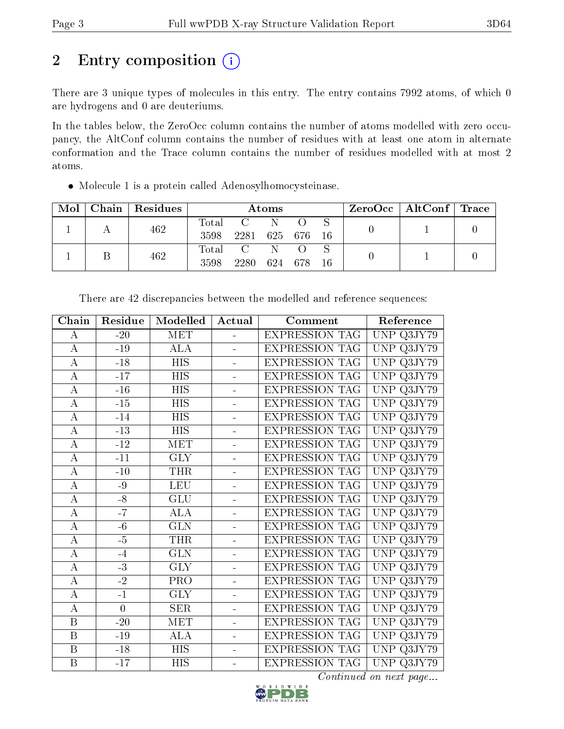# 2 Entry composition (i)

There are 3 unique types of molecules in this entry. The entry contains 7992 atoms, of which 0 are hydrogens and 0 are deuteriums.

In the tables below, the ZeroOcc column contains the number of atoms modelled with zero occupancy, the AltConf column contains the number of residues with at least one atom in alternate conformation and the Trace column contains the number of residues modelled with at most 2 atoms.

Molecule 1 is a protein called Adenosylhomocysteinase.

| Mol | Chain $\vert$ | Residues | Atoms         |              |     |       |    | $ZeroOcc \mid AltConf \mid Trace$ |  |
|-----|---------------|----------|---------------|--------------|-----|-------|----|-----------------------------------|--|
|     |               | 462      | Total<br>3598 | 2281 625 676 |     |       | 16 |                                   |  |
|     |               | 462      | Total<br>3598 | 2280         | 624 | - 678 | 16 |                                   |  |

| Residue        | Modelled                | Actual                   | Comment               | Reference                                |
|----------------|-------------------------|--------------------------|-----------------------|------------------------------------------|
| $-20$          | <b>MET</b>              | $\overline{\phantom{0}}$ | <b>EXPRESSION TAG</b> | UNP Q3JY79                               |
| $-19$          | <b>ALA</b>              | L.                       | <b>EXPRESSION TAG</b> | <b>UNP</b><br>Q3JY79                     |
| $-18$          | <b>HIS</b>              |                          | <b>EXPRESSION TAG</b> | <b>UNP</b><br>Q3JY79                     |
| $-17$          | <b>HIS</b>              |                          | <b>EXPRESSION TAG</b> | <b>UNP</b><br>Q3JY79                     |
| $\mbox{-}16$   | <b>HIS</b>              | L.                       | <b>EXPRESSION TAG</b> | UNP<br>$Q3J\overline{Y79}$               |
| $-15$          | <b>HIS</b>              | $\overline{a}$           | <b>EXPRESSION TAG</b> | <b>UNP</b><br>Q3JY79                     |
| $-14$          | <b>HIS</b>              | ÷,                       | <b>EXPRESSION TAG</b> | UNP<br>Q3JY79                            |
| $-13$          | <b>HIS</b>              | ÷,                       | <b>EXPRESSION TAG</b> | <b>UNP</b><br>Q3JY79                     |
| $-12$          | <b>MET</b>              | L,                       | <b>EXPRESSION TAG</b> | UNP<br>Q3JY79                            |
| $-11$          | <b>GLY</b>              |                          | <b>EXPRESSION TAG</b> | <b>UNP</b><br>Q3JY79                     |
| $-10$          | <b>THR</b>              | $\overline{a}$           | <b>EXPRESSION TAG</b> | <b>UNP</b><br>Q3JY79                     |
| $-9$           | <b>LEU</b>              | L,                       | <b>EXPRESSION TAG</b> | UNP<br>Q3JY79                            |
| $-8$           | GLU                     | ÷,                       | <b>EXPRESSION TAG</b> | <b>UNP</b><br>Q3JY79                     |
| $-7$           | ALA                     | ä,                       | <b>EXPRESSION TAG</b> | Q3JY79<br>UNP                            |
| $-6$           | <b>GLN</b>              | ä,                       |                       | UNP<br>Q3JY79                            |
| $-5$           | <b>THR</b>              | ÷,                       | <b>EXPRESSION TAG</b> | <b>UNP</b><br>Q3JY79                     |
| $-4$           | $\overline{\text{GLN}}$ |                          | <b>EXPRESSION TAG</b> | <b>UNP</b><br>$\overline{\text{Q3JY79}}$ |
| $-3$           | <b>GLY</b>              |                          | <b>EXPRESSION TAG</b> | <b>UNP</b><br>Q3JY79                     |
| $-2$           | PRO                     | $\overline{a}$           | <b>EXPRESSION TAG</b> | $\overline{\text{UNP}}$<br>Q3JY79        |
| $-1$           | $\overline{\text{GLY}}$ | $\overline{a}$           | <b>EXPRESSION TAG</b> | <b>UNP</b><br>$Q3J\overline{Y79}$        |
| $\overline{0}$ | <b>SER</b>              | ÷,                       | <b>EXPRESSION TAG</b> | <b>UNP</b><br>Q3JY79                     |
| $-20$          | MET                     | ÷,                       | <b>EXPRESSION TAG</b> | UNP<br>Q3JY79                            |
| $-19$          | <b>ALA</b>              | ÷,                       | <b>EXPRESSION TAG</b> | <b>UNP</b><br>Q3JY79                     |
| $-18$          | <b>HIS</b>              | $\equiv$                 | <b>EXPRESSION TAG</b> | <b>UNP</b><br>$Q3J\overline{Y79}$        |
| $-17$          | <b>HIS</b>              |                          | <b>EXPRESSION TAG</b> | UNP<br>Q3JY79                            |
|                |                         |                          |                       | <b>EXPRESSION TAG</b>                    |

There are 42 discrepancies between the modelled and reference sequences:

Continued on next page...

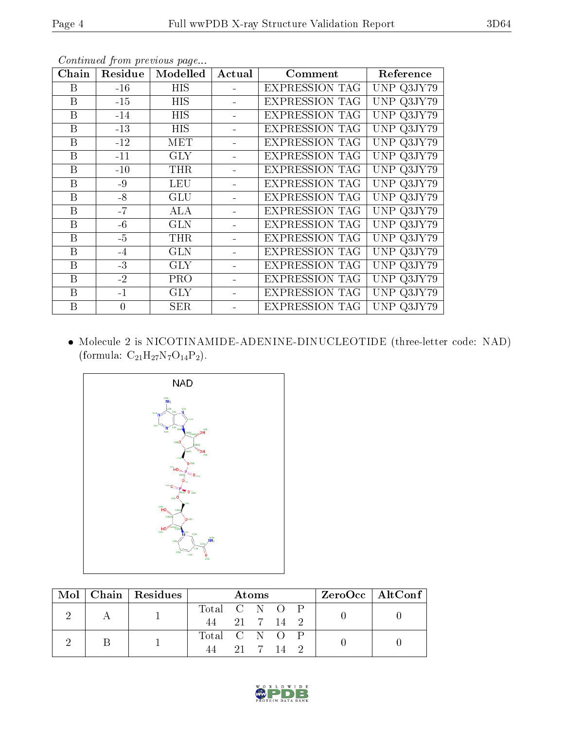| Chain            | Residue  | Modelled                | Actual | Comment               | Reference  |
|------------------|----------|-------------------------|--------|-----------------------|------------|
| Β                | $-16$    | <b>HIS</b>              |        | <b>EXPRESSION TAG</b> | UNP Q3JY79 |
| B                | $-15$    | <b>HIS</b>              |        | <b>EXPRESSION TAG</b> | UNP Q3JY79 |
| B                | $-14$    | <b>HIS</b>              |        | <b>EXPRESSION TAG</b> | UNP Q3JY79 |
| B                | $-13$    | <b>HIS</b>              |        | <b>EXPRESSION TAG</b> | UNP Q3JY79 |
| $\boldsymbol{B}$ | $-12$    | $\overline{\text{MET}}$ |        | <b>EXPRESSION TAG</b> | UNP Q3JY79 |
| $\boldsymbol{B}$ | $-11$    | <b>GLY</b>              |        | <b>EXPRESSION TAG</b> | UNP Q3JY79 |
| B                | $-10$    | THR                     |        | <b>EXPRESSION TAG</b> | UNP Q3JY79 |
| $\boldsymbol{B}$ | $-9$     | <b>LEU</b>              |        | <b>EXPRESSION TAG</b> | UNP Q3JY79 |
| B                | $-8$     | <b>GLU</b>              |        | <b>EXPRESSION TAG</b> | UNP Q3JY79 |
| B                | $-7$     | ALA                     |        | <b>EXPRESSION TAG</b> | UNP Q3JY79 |
| $\mathbf B$      | $-6$     | <b>GLN</b>              |        | <b>EXPRESSION TAG</b> | UNP Q3JY79 |
| B                | $-5$     | <b>THR</b>              |        | <b>EXPRESSION TAG</b> | UNP Q3JY79 |
| $\mathbf B$      | $-4$     | <b>GLN</b>              |        | <b>EXPRESSION TAG</b> | UNP Q3JY79 |
| B                | $-3$     | <b>GLY</b>              |        | <b>EXPRESSION TAG</b> | UNP Q3JY79 |
| B                | $-2$     | PRO                     |        | <b>EXPRESSION TAG</b> | UNP Q3JY79 |
| B                | $-1$     | <b>GLY</b>              |        | <b>EXPRESSION TAG</b> | UNP Q3JY79 |
| B                | $\theta$ | <b>SER</b>              |        | <b>EXPRESSION TAG</b> | UNP Q3JY79 |

Continued from previous page...

 Molecule 2 is NICOTINAMIDE-ADENINE-DINUCLEOTIDE (three-letter code: NAD) (formula:  $\mathrm{C}_{21}\mathrm{H}_{27}\mathrm{N}_{7}\mathrm{O}_{14}\mathrm{P}_{2}).$ 



|  |  | Mol   Chain   Residues | <b>Atoms</b>  |         |  |           | ZeroOcc   AltConf |  |  |
|--|--|------------------------|---------------|---------|--|-----------|-------------------|--|--|
|  |  |                        | Total C N O P |         |  |           |                   |  |  |
|  |  |                        | 44            |         |  | 21 7 14 2 |                   |  |  |
|  |  |                        | Total C N O P |         |  |           |                   |  |  |
|  |  | 44                     |               | 21 7 14 |  |           |                   |  |  |

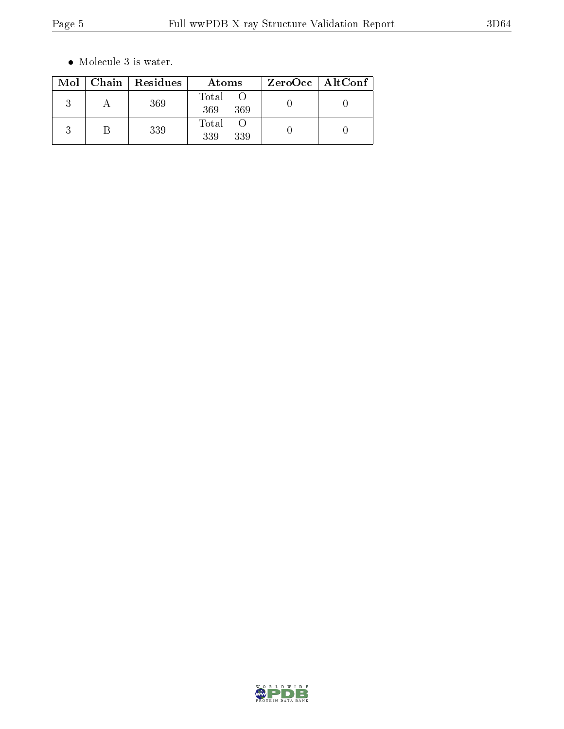$\bullet\,$  Molecule 3 is water.

|  | Mol   Chain   Residues | Atoms               | $ZeroOcc \mid AltConf \mid$ |
|--|------------------------|---------------------|-----------------------------|
|  | 369                    | Total<br>369<br>369 |                             |
|  | 339                    | Total<br>339<br>339 |                             |

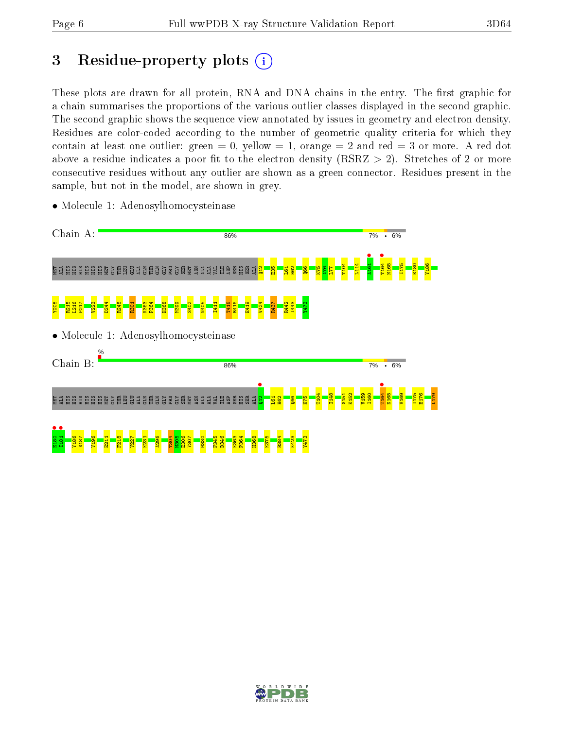# 3 Residue-property plots  $(i)$

These plots are drawn for all protein, RNA and DNA chains in the entry. The first graphic for a chain summarises the proportions of the various outlier classes displayed in the second graphic. The second graphic shows the sequence view annotated by issues in geometry and electron density. Residues are color-coded according to the number of geometric quality criteria for which they contain at least one outlier: green  $= 0$ , yellow  $= 1$ , orange  $= 2$  and red  $= 3$  or more. A red dot above a residue indicates a poor fit to the electron density (RSRZ  $> 2$ ). Stretches of 2 or more consecutive residues without any outlier are shown as a green connector. Residues present in the sample, but not in the model, are shown in grey.



• Molecule 1: Adenosylhomocysteinase

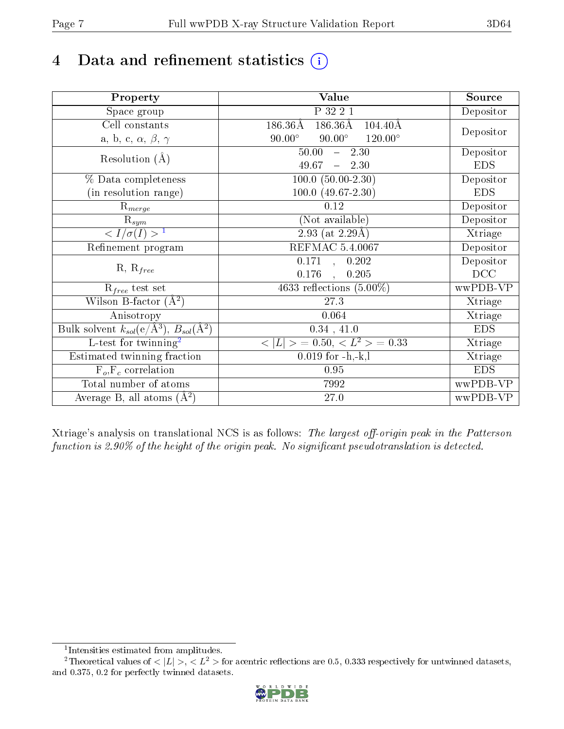# 4 Data and refinement statistics  $(i)$

| Property                                                             | Value                                                      | Source     |
|----------------------------------------------------------------------|------------------------------------------------------------|------------|
| Space group                                                          | P 32 2 1                                                   | Depositor  |
| Cell constants                                                       | $186.36\rm\AA$<br>$186.36\text{\AA}$<br>$104.40\text{\AA}$ |            |
| a, b, c, $\alpha$ , $\beta$ , $\gamma$                               | $90.00^\circ$<br>$90.00^\circ$<br>$120.00^{\circ}$         | Depositor  |
| Resolution $(A)$                                                     | 50.00<br>$-2.30$                                           | Depositor  |
|                                                                      | 49.67<br>$-2.30$                                           | <b>EDS</b> |
| % Data completeness                                                  | $100.0 (50.00 - 2.30)$                                     | Depositor  |
| (in resolution range)                                                | $100.0 (49.67 - 2.30)$                                     | <b>EDS</b> |
| $\mathrm{R}_{merge}$                                                 | 0.12                                                       | Depositor  |
| $\mathrm{R}_{sym}$                                                   | (Not available)                                            | Depositor  |
| $\langle I/\sigma(I) \rangle$ <sup>1</sup>                           | $\overline{2.93}$ (at 2.29Å)                               | Xtriage    |
| Refinement program                                                   | <b>REFMAC 5.4.0067</b>                                     | Depositor  |
| $R, R_{free}$                                                        | $\overline{0.171}$ ,<br>0.202                              | Depositor  |
|                                                                      | 0.176<br>0.205<br>$\mathbf{r}$                             | DCC        |
| $R_{free}$ test set                                                  | 4633 reflections $(5.00\%)$                                | wwPDB-VP   |
| Wilson B-factor $(A^2)$                                              | 27.3                                                       | Xtriage    |
| Anisotropy                                                           | 0.064                                                      | Xtriage    |
| Bulk solvent $k_{sol}(e/\mathring{A}^3)$ , $B_{sol}(\mathring{A}^2)$ | 0.34, 41.0                                                 | <b>EDS</b> |
| $L$ -test for twinning <sup>2</sup>                                  | $< L >$ = 0.50, $< L2 >$ = 0.33                            | Xtriage    |
| Estimated twinning fraction                                          | $0.019$ for $-h,-k,l$                                      | Xtriage    |
| $F_o, F_c$ correlation                                               | 0.95                                                       | <b>EDS</b> |
| Total number of atoms                                                | 7992                                                       | wwPDB-VP   |
| Average B, all atoms $(A^2)$                                         | 27.0                                                       | wwPDB-VP   |

Xtriage's analysis on translational NCS is as follows: The largest off-origin peak in the Patterson function is  $2.90\%$  of the height of the origin peak. No significant pseudotranslation is detected.

<sup>&</sup>lt;sup>2</sup>Theoretical values of  $\langle |L| \rangle$ ,  $\langle L^2 \rangle$  for acentric reflections are 0.5, 0.333 respectively for untwinned datasets, and 0.375, 0.2 for perfectly twinned datasets.



<span id="page-6-1"></span><span id="page-6-0"></span><sup>1</sup> Intensities estimated from amplitudes.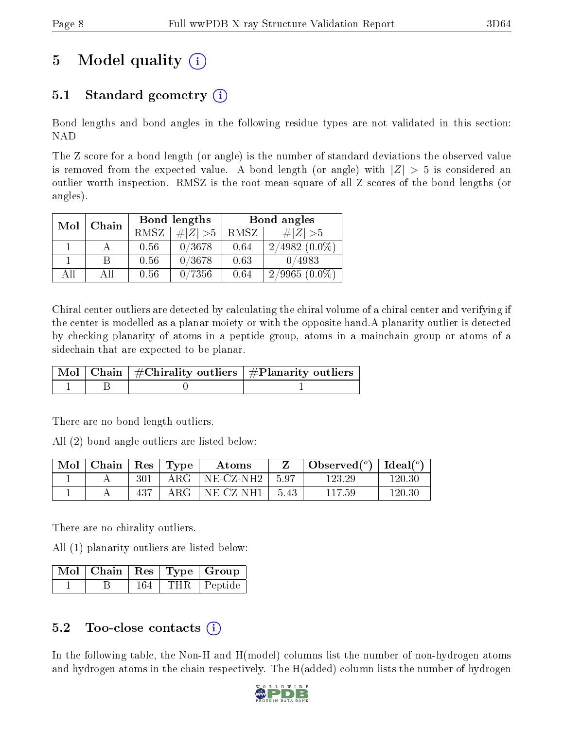# 5 Model quality  $(i)$

### 5.1 Standard geometry  $(i)$

Bond lengths and bond angles in the following residue types are not validated in this section: NAD

The Z score for a bond length (or angle) is the number of standard deviations the observed value is removed from the expected value. A bond length (or angle) with  $|Z| > 5$  is considered an outlier worth inspection. RMSZ is the root-mean-square of all Z scores of the bond lengths (or angles).

| Mol | Chain |      | Bond lengths | Bond angles |                 |  |
|-----|-------|------|--------------|-------------|-----------------|--|
|     |       | RMSZ | # $ Z  > 5$  | RMSZ        | $\# Z >5$       |  |
|     |       | 0.56 | 0/3678       | 0.64        | $2/4982(0.0\%)$ |  |
|     | В     | 0.56 | 0/3678       | 0.63        | 0/4983          |  |
| AH  | ΑH    | 0.56 | 0/7356       | 0.64        | $2/9965(0.0\%)$ |  |

Chiral center outliers are detected by calculating the chiral volume of a chiral center and verifying if the center is modelled as a planar moiety or with the opposite hand.A planarity outlier is detected by checking planarity of atoms in a peptide group, atoms in a mainchain group or atoms of a sidechain that are expected to be planar.

|  | $\mid$ Mol $\mid$ Chain $\mid$ #Chirality outliers $\mid$ #Planarity outliers $'$ |
|--|-----------------------------------------------------------------------------------|
|  |                                                                                   |

There are no bond length outliers.

All (2) bond angle outliers are listed below:

| $\sqrt{\text{Mol}}$ Chain   Res   Type |     | Atoms                            | Observed( $^{\circ}$ )   Ideal( $^{\circ}$ ) |        |
|----------------------------------------|-----|----------------------------------|----------------------------------------------|--------|
|                                        | 301 | ARG   NE-CZ-NH2   5.97           | 123.29                                       | 120.30 |
|                                        | 437 | $\text{ARG}$   NE-CZ-NH1   -5.43 | 117.59                                       | 120.30 |

There are no chirality outliers.

All (1) planarity outliers are listed below:

|  |     | $\mid$ Mol $\mid$ Chain $\mid$ Res $\mid$ Type $\mid$ Group |
|--|-----|-------------------------------------------------------------|
|  | 164 | THR   Peptide                                               |

### 5.2 Too-close contacts  $(i)$

In the following table, the Non-H and H(model) columns list the number of non-hydrogen atoms and hydrogen atoms in the chain respectively. The H(added) column lists the number of hydrogen

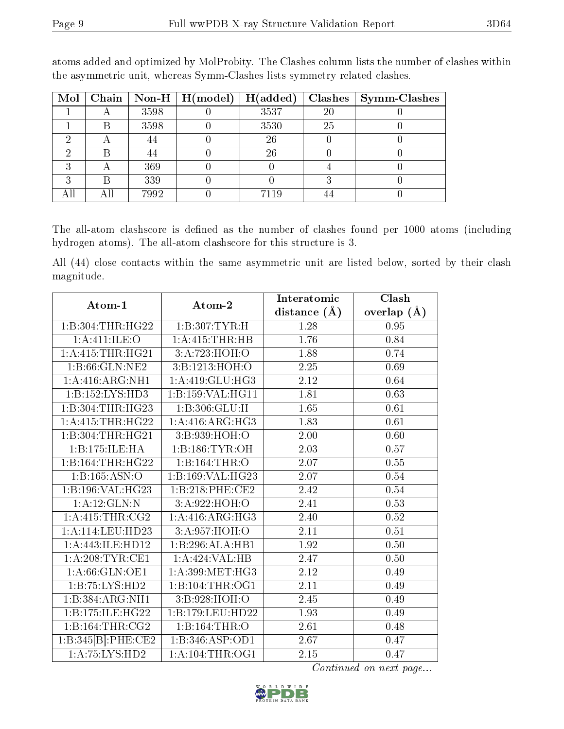| Mol |   |      | Chain   Non-H   $H (model)$ | H(added) | Clashes | $\vert$ Symm-Clashes |
|-----|---|------|-----------------------------|----------|---------|----------------------|
|     |   | 3598 |                             | 3537     | 20      |                      |
|     |   | 3598 |                             | 3530     | 25      |                      |
|     | ◠ | 44   |                             | 26       |         |                      |
|     |   |      |                             | 26       |         |                      |
|     |   | 369  |                             |          |         |                      |
|     |   | 339  |                             |          |         |                      |
|     |   | 7992 |                             | 7119     |         |                      |

atoms added and optimized by MolProbity. The Clashes column lists the number of clashes within the asymmetric unit, whereas Symm-Clashes lists symmetry related clashes.

The all-atom clashscore is defined as the number of clashes found per 1000 atoms (including hydrogen atoms). The all-atom clashscore for this structure is 3.

All (44) close contacts within the same asymmetric unit are listed below, sorted by their clash magnitude.

| Atom-1                                  | Atom-2             | Interatomic    | Clash         |  |
|-----------------------------------------|--------------------|----------------|---------------|--|
|                                         |                    | distance $(A)$ | overlap $(A)$ |  |
| 1:B:304:THR:HG22                        | 1:B:307:TYR:H      | 1.28           | 0.95          |  |
| 1: A: 411: ILE: O                       | 1: A: 415: THR: HB | 1.76           | 0.84          |  |
| 1: A:415:THR:HG21                       | 3:A:723:HOH:O      | 1.88           | 0.74          |  |
| 1:B:66:GLN:NE2                          | 3:B:1213:HOH:O     | 2.25           | 0.69          |  |
| 1: A:416: ARG: NH1                      | 1:A:419:GLU:HG3    | 2.12           | 0.64          |  |
| 1:B:152:LYS:HD3                         | 1:B:159:VAL:HG11   | 1.81           | 0.63          |  |
| 1:B:304:THR:HG23                        | 1:B:306:GLU:H      | 1.65           | 0.61          |  |
| 1: A:415:THR:HG22                       | 1:A:416:ARG:HG3    | 1.83           | 0.61          |  |
| 1:B:304:THR:HG21                        | 3: B: 939: HOH:O   | 2.00           | 0.60          |  |
| 1:B:175:ILE:HA                          | 1:B:186:TYR:OH     | 2.03           | 0.57          |  |
| 1:B:164:THR:HG22                        | 1:B:164:THR:O      | 2.07           | 0.55          |  |
| 1:B:165:ASN:O                           | 1:B:169:VAL:HG23   | 2.07           | 0.54          |  |
| 1:B:196:VAL:HG23                        | 1:B:218:PHE:CE2    | 2.42           | 0.54          |  |
| 1:A:12:GLN:N                            | 3:A:922:HOH:O      | 2.41           | 0.53          |  |
| 1: A:415:THR:CG2                        | 1: A:416: ARG:HG3  | 2.40           | 0.52          |  |
| 1:A:114:LEU:HD23                        | 3:A:957:HOH:O      | 2.11           | 0.51          |  |
| 1: A:443: ILE: HD12                     | 1:B:296:ALA:HB1    | 1.92           | 0.50          |  |
| 1: A:208:TYR:CE1                        | 1:A:424:VAL:HB     | 2.47           | 0.50          |  |
| 1: A:66: GLN:OE1                        | 1: A:399:MET:HG3   | 2.12           | 0.49          |  |
| 1:B:75:LYS:HD2                          | 1:B:104:THR:OG1    | 2.11           | 0.49          |  |
| 1:B:384:ARG:NH1                         | 3: B:928: HOH:O    | 2.45           | 0.49          |  |
| 1:B:175:ILE:HG22                        | 1:B:179:LEU:HD22   | 1.93           | 0.49          |  |
| $1:\overline{B}:164:\overline{THR}:CG2$ | 1:B:164:THR:O      | 2.61           | 0.48          |  |
| 1:B:345[B]:PHE:CE2                      | 1:B:346:ASP:OD1    | 2.67           | 0.47          |  |
| 1:A:75:LYS:HD2                          | 1: A:104:THR:OG1   | 2.15           | 0.47          |  |

Continued on next page...

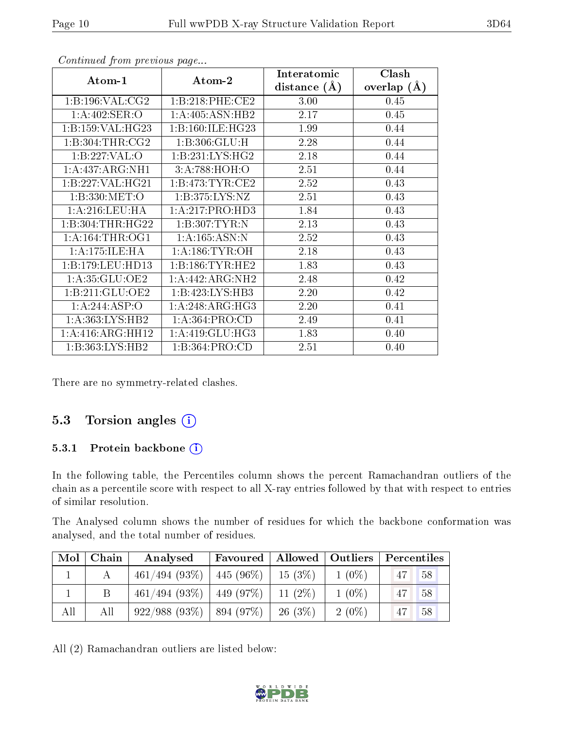| Atom-1                             | Atom-2               | Interatomic    | Clash         |
|------------------------------------|----------------------|----------------|---------------|
|                                    |                      | distance $(A)$ | overlap $(A)$ |
| 1: B: 196: VAL: CG2                | 1:B:218:PHE:CE2      | 3.00           | 0.45          |
| $1: A:402: SER: \overline{O}$      | 1:A:405:ASN:HB2      | 2.17           | 0.45          |
| 1:B:159:VAL:HG23                   | 1: B: 160: ILE: HG23 | 1.99           | 0.44          |
| 1:B:304:THR:CG2                    | 1:B:306:GLU:H        | 2.28           | 0.44          |
| 1:B:227:VAL:O                      | 1: B: 231: LYS: HG2  | 2.18           | 0.44          |
| 1: A:437: ARG:NH1                  | 3:A:788:HOH:O        | 2.51           | 0.44          |
| 1:B:227:VAL:HG21                   | 1:B:473:TYR:CE2      | 2.52           | 0.43          |
| 1:B:330:MET:O                      | 1:B:375:LYS:NZ       | 2.51           | 0.43          |
| 1: A:216:LEU:HA                    | 1:A:217:PRO:HD3      | 1.84           | 0.43          |
| 1:B:304:THR:HG22                   | 1:B:307:TYR:N        | 2.13           | 0.43          |
| 1: A:164:THR:OG1                   | 1: A: 165: ASN: N    | 2.52           | 0.43          |
| $1:A:175:\overline{\text{ILE:HA}}$ | 1: A:186: TYR:OH     | 2.18           | 0.43          |
| 1:B:179:LEU:HD13                   | 1:B:186:TYR:HE2      | 1.83           | 0.43          |
| 1: A:35: GLU:OE2                   | 1: A:442:ARG:NH2     | 2.48           | 0.42          |
| 1: B:211: GLU:OE2                  | 1:B:423:LYS:HB3      | 2.20           | 0.42          |
| 1:A:244:ASP:O                      | 1:A:248:ARG:HG3      | 2.20           | 0.41          |
| 1: A: 363: LYS: HB2                | 1: A: 364: PRO:CD    | 2.49           | 0.41          |
| 1:A:416:ARG:HH12                   | 1:A:419:GLU:HG3      | 1.83           | 0.40          |
| 1:B:363:LYS:HB2                    | 1: B: 364: PRO: CD   | 2.51           | 0.40          |

Continued from previous page...

There are no symmetry-related clashes.

#### 5.3 Torsion angles (i)

#### 5.3.1 Protein backbone (i)

In the following table, the Percentiles column shows the percent Ramachandran outliers of the chain as a percentile score with respect to all X-ray entries followed by that with respect to entries of similar resolution.

The Analysed column shows the number of residues for which the backbone conformation was analysed, and the total number of residues.

| Mol | Chain | Analysed         | Favoured             | Allowed   Outliers |          | Percentiles |
|-----|-------|------------------|----------------------|--------------------|----------|-------------|
|     |       | $461/494$ (93\%) | $-445(96\%)$         | $15(3\%)$          | $1(0\%)$ | 47<br>58    |
|     |       | 461/494(93%)     | 449 (97\%)           | 11 $(2%)$          | $1(0\%)$ | 58          |
| All | All   | 922/988(93%)     | $^{\circ}$ 894 (97%) | $26(3\%)$          | $2(0\%)$ | 58          |

All (2) Ramachandran outliers are listed below:

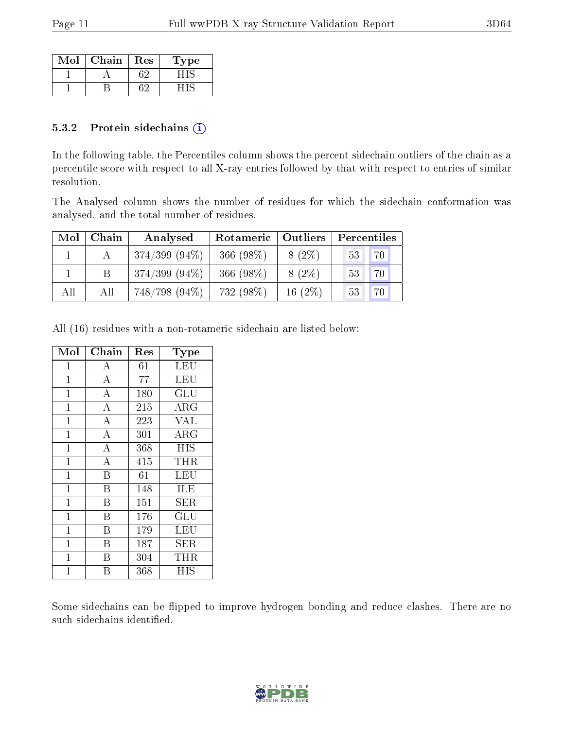| Mol | Chain | Res | L'ype |
|-----|-------|-----|-------|
|     |       |     |       |
|     |       |     |       |

#### 5.3.2 Protein sidechains  $(i)$

In the following table, the Percentiles column shows the percent sidechain outliers of the chain as a percentile score with respect to all X-ray entries followed by that with respect to entries of similar resolution.

The Analysed column shows the number of residues for which the sidechain conformation was analysed, and the total number of residues.

| Mol | Chain | Analysed         | Rotameric   Outliers |           | Percentiles |
|-----|-------|------------------|----------------------|-----------|-------------|
|     |       | $374/399(94\%)$  | 366 (98%)            | $8(2\%)$  | 70<br>53    |
|     |       | $374/399$ (94\%) | 366 (98%)            | $8(2\%)$  | 70<br>53    |
| All | All   | $748/798(94\%)$  | 732 (98%)            | 16 $(2%)$ | 53          |

All (16) residues with a non-rotameric sidechain are listed below:

| Mol          | Chain              | Res | Type        |
|--------------|--------------------|-----|-------------|
| 1            | А                  | 61  | LEU         |
| $\mathbf{1}$ | $\overline{A}$     | 77  | LEU         |
| $\mathbf{1}$ | $\overline{\rm A}$ | 180 | GLU         |
| $\mathbf{1}$ | $\overline{A}$     | 215 | <b>ARG</b>  |
| $\mathbf{1}$ | $\overline{\rm A}$ | 223 | <b>VAL</b>  |
| $\mathbf 1$  | $\overline{\rm A}$ | 301 | ARG         |
| $\mathbf{1}$ | $\overline{A}$     | 368 | <b>HIS</b>  |
| $\mathbf{1}$ | $\overline{\rm A}$ | 415 | THR         |
| $\mathbf{1}$ | B                  | 61  | LEU         |
| $\mathbf{1}$ | B                  | 148 | ILE         |
| $\mathbf 1$  | B                  | 151 | ${\rm SER}$ |
| $\mathbf{1}$ | B                  | 176 | GLU         |
| $\mathbf 1$  | B                  | 179 | LEU         |
| $\mathbf{1}$ | B                  | 187 | SER         |
| $\mathbf{1}$ | B                  | 304 | THR         |
| 1            | В                  | 368 | НIS         |

Some sidechains can be flipped to improve hydrogen bonding and reduce clashes. There are no such sidechains identified.

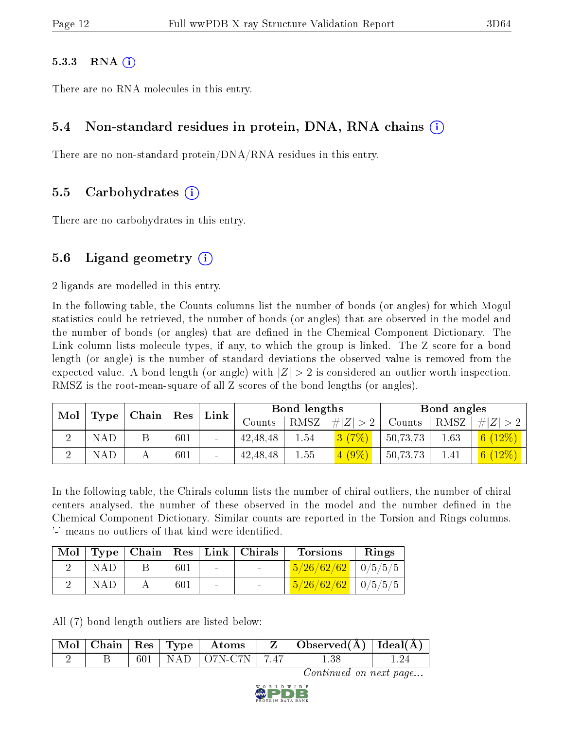#### $5.3.3$  RNA  $(i)$

There are no RNA molecules in this entry.

#### 5.4 Non-standard residues in protein, DNA, RNA chains (i)

There are no non-standard protein/DNA/RNA residues in this entry.

#### 5.5 Carbohydrates (i)

There are no carbohydrates in this entry.

### 5.6 Ligand geometry  $(i)$

2 ligands are modelled in this entry.

In the following table, the Counts columns list the number of bonds (or angles) for which Mogul statistics could be retrieved, the number of bonds (or angles) that are observed in the model and the number of bonds (or angles) that are defined in the Chemical Component Dictionary. The Link column lists molecule types, if any, to which the group is linked. The Z score for a bond length (or angle) is the number of standard deviations the observed value is removed from the expected value. A bond length (or angle) with  $|Z| > 2$  is considered an outlier worth inspection. RMSZ is the root-mean-square of all Z scores of the bond lengths (or angles).

| Mol<br>Type |            | Chain   Res |     |        | Link       |      | Bond lengths |          |      | Bond angles |  |
|-------------|------------|-------------|-----|--------|------------|------|--------------|----------|------|-------------|--|
|             |            |             |     |        | Counts     | RMSZ | # Z          | Counts   | RMSZ | #<br> Z     |  |
|             | <b>NAD</b> |             | 601 |        | 42, 48, 48 | 1.54 | $3(7\%)$     | 50,73,73 | 1.63 | 6 $(12\%)$  |  |
|             | NAE        |             | 601 | $\sim$ | 42, 48, 48 | 1.55 | $4(9\%)$     | 50,73,73 | 1.41 | 6 $(12%)$   |  |

In the following table, the Chirals column lists the number of chiral outliers, the number of chiral centers analysed, the number of these observed in the model and the number defined in the Chemical Component Dictionary. Similar counts are reported in the Torsion and Rings columns. '-' means no outliers of that kind were identified.

|     |     |        | Mol   Type   Chain   Res   Link   Chirals | <b>Torsions</b>                | Rings |
|-----|-----|--------|-------------------------------------------|--------------------------------|-------|
| NAD | 601 | $\sim$ | <b>Contract Contract</b>                  | $\frac{5}{26/62/62}$   0/5/5/5 |       |
| NAD | 601 | $\sim$ | <b>Contract Contract</b>                  | $\frac{5}{26/62/62}$   0/5/5/5 |       |

All (7) bond length outliers are listed below:

|  |  | $\lceil$ Mol $\rceil$ Chain $\lceil$ Res $\lceil$ Type $\lceil$ Atoms | $Z \perp \text{Observed(A)}   \text{Ideal(A)}  $ |  |
|--|--|-----------------------------------------------------------------------|--------------------------------------------------|--|
|  |  | 601   NAD   O7N-C7N   7.47                                            | L.38                                             |  |

Continued on next page...

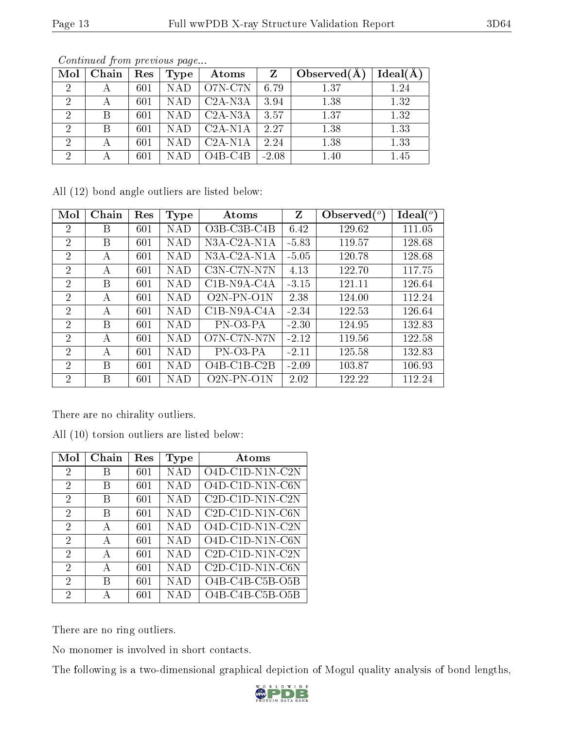|--|

| Mol            | Chain | Res | Type       | Atoms     | Z       | Observed $(A)$ | Ideal(A) |
|----------------|-------|-----|------------|-----------|---------|----------------|----------|
| -2             | А     | 601 | <b>NAD</b> | O7N-C7N   | 6.79    | 1.37           | 1.24     |
| $\overline{2}$ | А     | 601 | <b>NAD</b> | $C2A-N3A$ | 3.94    | 1.38           | 1.32     |
| $\overline{2}$ | B     | 601 | <b>NAD</b> | $C2A-N3A$ | 3.57    | 1.37           | 1.32     |
| $\overline{2}$ | В     | 601 | <b>NAD</b> | $C2A-N1A$ | 2.27    | 1.38           | 1.33     |
| 2              | А     | 601 | <b>NAD</b> | $C2A-N1A$ | 2.24    | 1.38           | 1.33     |
| 2              | А     | 601 | NAD        | $O4B-C4B$ | $-2.08$ | 1.40           | 1.45     |

Continued from previous page...

All (12) bond angle outliers are listed below:

| Mol            | Chain | Res | Type       | Atoms                                    | Z       | Observed $(^\circ)$ | $\text{Ideal}({}^o)$ |
|----------------|-------|-----|------------|------------------------------------------|---------|---------------------|----------------------|
| $\overline{2}$ | Β     | 601 | <b>NAD</b> | $O3B$ -C <sub>3</sub> B-C <sub>4</sub> B | 6.42    | 129.62              | 111.05               |
| $\overline{2}$ | В     | 601 | NAD        | $N3A$ -C <sub>2</sub> A-N <sub>1</sub> A | $-5.83$ | 119.57              | 128.68               |
| $\overline{2}$ | А     | 601 | <b>NAD</b> | N3A-C2A-N1A                              | $-5.05$ | 120.78              | 128.68               |
| $\overline{2}$ | А     | 601 | <b>NAD</b> | C3N-C7N-N7N                              | 4.13    | 122.70              | 117.75               |
| $\overline{2}$ | В     | 601 | NAD        | $C1B-N9A-C4A$                            | $-3.15$ | 121.11              | 126.64               |
| $\overline{2}$ | А     | 601 | NAD        | $O2N-PN-O1N$                             | 2.38    | 124.00              | 112.24               |
| $\overline{2}$ | А     | 601 | NAD        | C1B-N9A-C4A                              | $-2.34$ | 122.53              | 126.64               |
| $\overline{2}$ | В     | 601 | <b>NAD</b> | PN-03-PA                                 | $-2.30$ | 124.95              | 132.83               |
| $\overline{2}$ | А     | 601 | NAD        | O7N-C7N-N7N                              | $-2.12$ | 119.56              | 122.58               |
| $\overline{2}$ | А     | 601 | NAD        | PN-03-PA                                 | $-2.11$ | 125.58              | 132.83               |
| $\overline{2}$ | В     | 601 | NAD        | $O4B-C1B-C2B$                            | $-2.09$ | 103.87              | 106.93               |
| $\overline{2}$ | В     | 601 | <b>NAD</b> | $O2N-PN-O1N$                             | 2.02    | 122.22              | 112.24               |

There are no chirality outliers.

All (10) torsion outliers are listed below:

| $\operatorname{Mol}$ | Chain | Res | Type       | Atoms                               |
|----------------------|-------|-----|------------|-------------------------------------|
| 2                    | B     | 601 | NAD        | O4D-C1D-N1N-C2N                     |
| 2                    | B     | 601 | NAD        | O4D-C1D-N1N-C6N                     |
| 2                    | В     | 601 | NAD        | $C2D- C1D-N1N- C2N$                 |
| 2                    | В     | 601 | <b>NAD</b> | $C2D- C1D- N1N-C6N$                 |
| 2                    | А     | 601 | NAD        | $\overline{O4D}$ -C1D-N1N-C2N       |
| 2                    | A     | 601 | NAD        | $O4D-C1D-N1N-C6N$                   |
| 2                    | А     | 601 | NAD        | $\overline{\text{C2D-C1D-N1N-C2N}}$ |
| 2                    | А     | 601 | NAD        | C2D-C1D-N1N-C6N                     |
| 2                    | В     | 601 | NAD        | $O4B-C4B-C5B-O5B$                   |
| 2                    | А     | 601 | <b>NAD</b> | $O4B-C4B-C5B-O5B$                   |

There are no ring outliers.

No monomer is involved in short contacts.

The following is a two-dimensional graphical depiction of Mogul quality analysis of bond lengths,

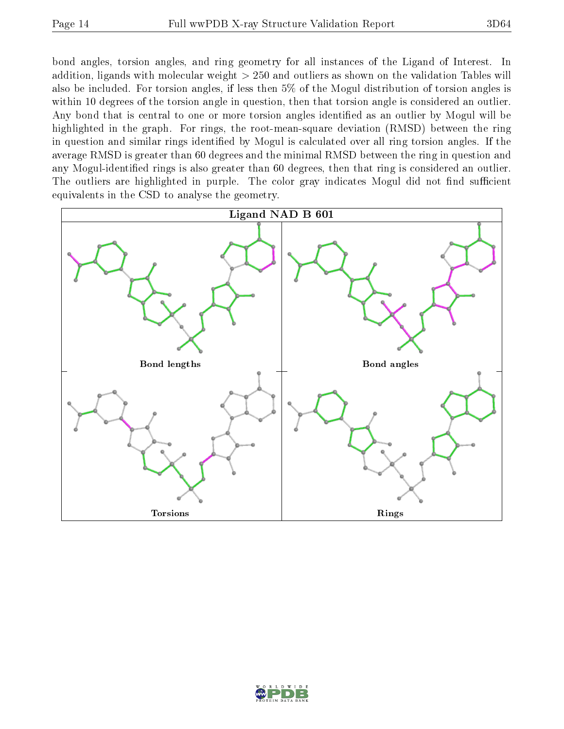bond angles, torsion angles, and ring geometry for all instances of the Ligand of Interest. In addition, ligands with molecular weight > 250 and outliers as shown on the validation Tables will also be included. For torsion angles, if less then 5% of the Mogul distribution of torsion angles is within 10 degrees of the torsion angle in question, then that torsion angle is considered an outlier. Any bond that is central to one or more torsion angles identified as an outlier by Mogul will be highlighted in the graph. For rings, the root-mean-square deviation (RMSD) between the ring in question and similar rings identified by Mogul is calculated over all ring torsion angles. If the average RMSD is greater than 60 degrees and the minimal RMSD between the ring in question and any Mogul-identified rings is also greater than 60 degrees, then that ring is considered an outlier. The outliers are highlighted in purple. The color gray indicates Mogul did not find sufficient equivalents in the CSD to analyse the geometry.



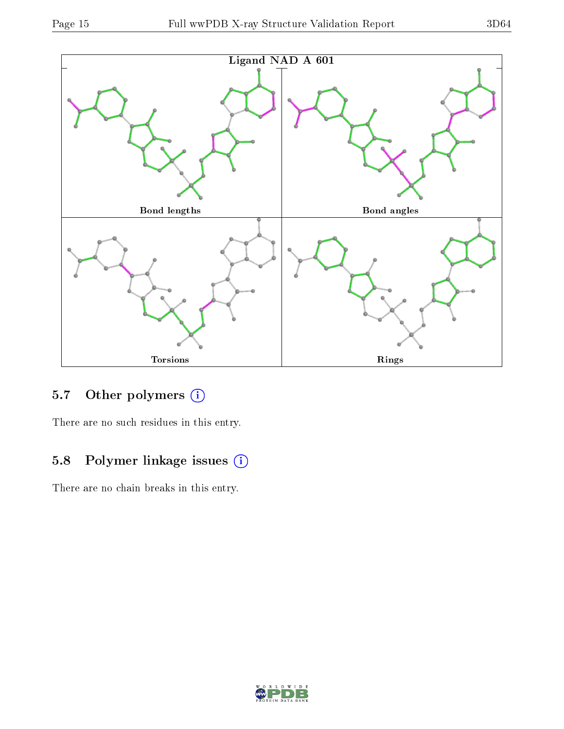

### 5.7 [O](https://www.wwpdb.org/validation/2017/XrayValidationReportHelp#nonstandard_residues_and_ligands)ther polymers (i)

There are no such residues in this entry.

# 5.8 Polymer linkage issues (i)

There are no chain breaks in this entry.

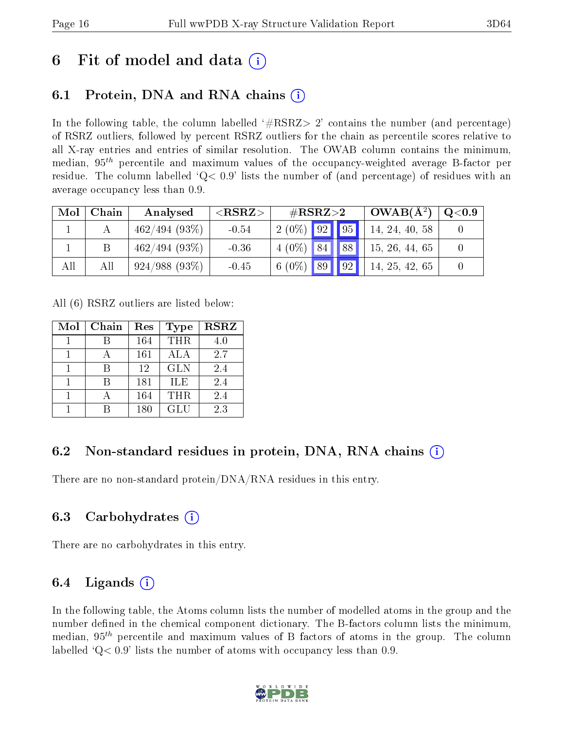# 6 Fit of model and data  $\left( \cdot \right)$

# 6.1 Protein, DNA and RNA chains (i)

In the following table, the column labelled  $#RSRZ>2'$  contains the number (and percentage) of RSRZ outliers, followed by percent RSRZ outliers for the chain as percentile scores relative to all X-ray entries and entries of similar resolution. The OWAB column contains the minimum, median,  $95<sup>th</sup>$  percentile and maximum values of the occupancy-weighted average B-factor per residue. The column labelled  $Q< 0.9$  lists the number of (and percentage) of residues with an average occupancy less than 0.9.

| Mol | Chain | Analysed        | ${ <\hspace{-1.5pt}{\mathrm{RSRZ}} \hspace{-1.5pt}>}$ | $\#\text{RSRZ}\text{>2}$ |  | $\vert$ OWAB( $\rm \AA^2)$ ) | $\mathrm{Q}{<}0.9$ |
|-----|-------|-----------------|-------------------------------------------------------|--------------------------|--|------------------------------|--------------------|
|     |       | 462/494(93%)    | $-0.54$                                               | $2(0\%)$ 92 95           |  | 14, 24, 40, 58               |                    |
|     |       | 462/494(93%)    | $-0.36$                                               | $4(0\%)$ 84 88           |  | 15, 26, 44, 65               |                    |
| All | All   | $924/988(93\%)$ | $-0.45$                                               | $6(0\%)$ 89 92           |  | 14, 25, 42, 65               |                    |

All (6) RSRZ outliers are listed below:

| Mol | Chain | Res | Type       | <b>RSRZ</b> |
|-----|-------|-----|------------|-------------|
|     |       | 164 | <b>THR</b> | 4.0         |
|     |       | 161 | ALA        | 2.7         |
|     |       | 12  | <b>GLN</b> | 2.4         |
|     |       | 181 | <b>ILE</b> | 2.4         |
|     |       | 164 | <b>THR</b> | 2.4         |
|     |       | 180 | GLU        | 2.3         |

### 6.2 Non-standard residues in protein, DNA, RNA chains  $(i)$

There are no non-standard protein/DNA/RNA residues in this entry.

### 6.3 Carbohydrates (i)

There are no carbohydrates in this entry.

### 6.4 Ligands  $(i)$

In the following table, the Atoms column lists the number of modelled atoms in the group and the number defined in the chemical component dictionary. The B-factors column lists the minimum, median,  $95<sup>th</sup>$  percentile and maximum values of B factors of atoms in the group. The column labelled  $Q< 0.9$ ' lists the number of atoms with occupancy less than 0.9.

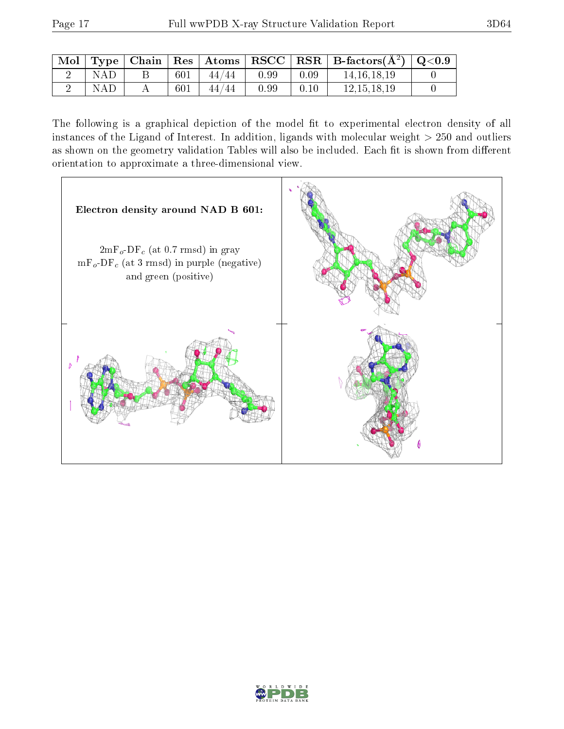|            |     |       |      |      | $\mid$ Mol $\mid$ Type $\mid$ Chain $\mid$ Res $\mid$ Atoms $\mid$ RSCC $\mid$ RSR $\mid$ B-factors(A <sup>2</sup> ) $\mid$ Q<0.9 |  |
|------------|-----|-------|------|------|-----------------------------------------------------------------------------------------------------------------------------------|--|
| NAD.       | 601 | 44/44 | 0.99 | 0.09 | 14, 16, 18, 19                                                                                                                    |  |
| <b>NAD</b> | 601 | 44/44 | 0.99 | 0.10 | 12.15.18.19                                                                                                                       |  |

The following is a graphical depiction of the model fit to experimental electron density of all instances of the Ligand of Interest. In addition, ligands with molecular weight  $> 250$  and outliers as shown on the geometry validation Tables will also be included. Each fit is shown from different orientation to approximate a three-dimensional view.